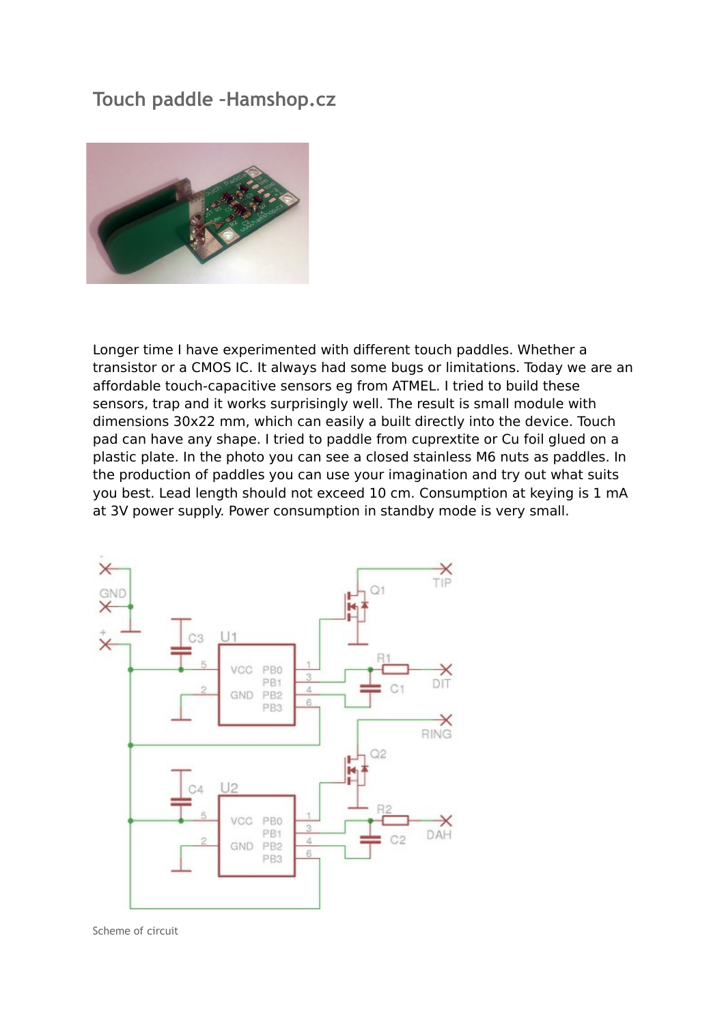## **Touch paddle –Hamshop.cz**



Longer time I have experimented with different touch paddles. Whether a transistor or a CMOS IC. It always had some bugs or limitations. Today we are an affordable touch-capacitive sensors eg from ATMEL. I tried to build these sensors, trap and it works surprisingly well. The result is small module with dimensions 30x22 mm, which can easily a built directly into the device. Touch pad can have any shape. I tried to paddle from cuprextite or Cu foil glued on a plastic plate. In the photo you can see a closed stainless M6 nuts as paddles. In the production of paddles you can use your imagination and try out what suits you best. Lead length should not exceed 10 cm. Consumption at keying is 1 mA at 3V power supply. Power consumption in standby mode is very small.



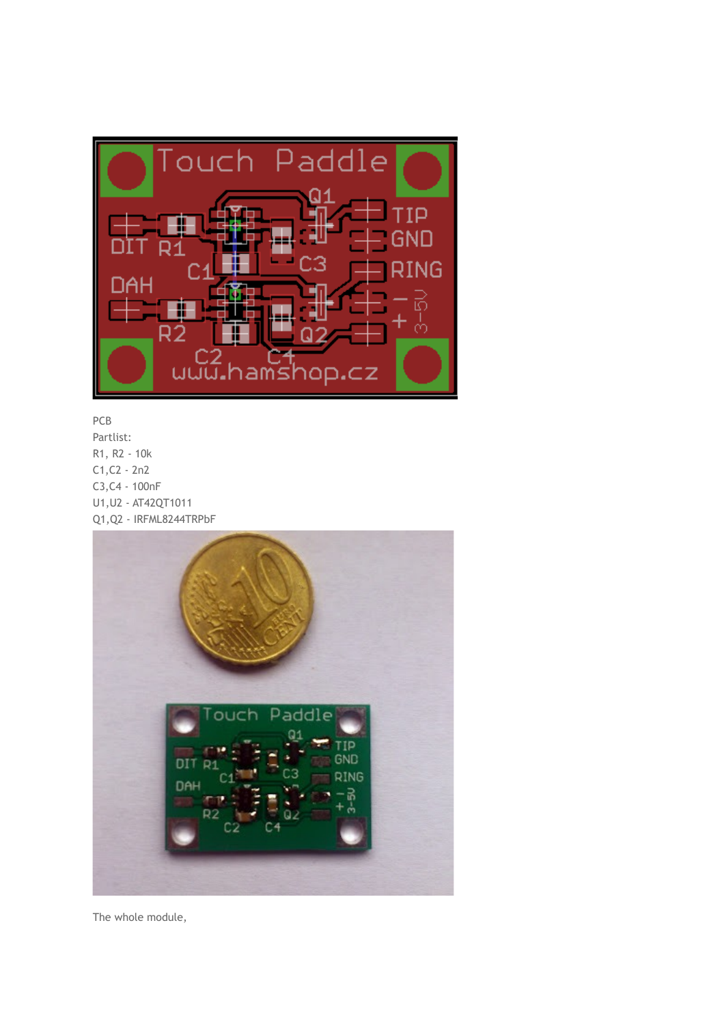

## PCB

Partlist: R1, R2 - 10k C1,C2 - 2n2 C3,C4 - 100nF U1,U2 - AT42QT1011 Q1,Q2 - IRFML8244TRPbF



The whole module,